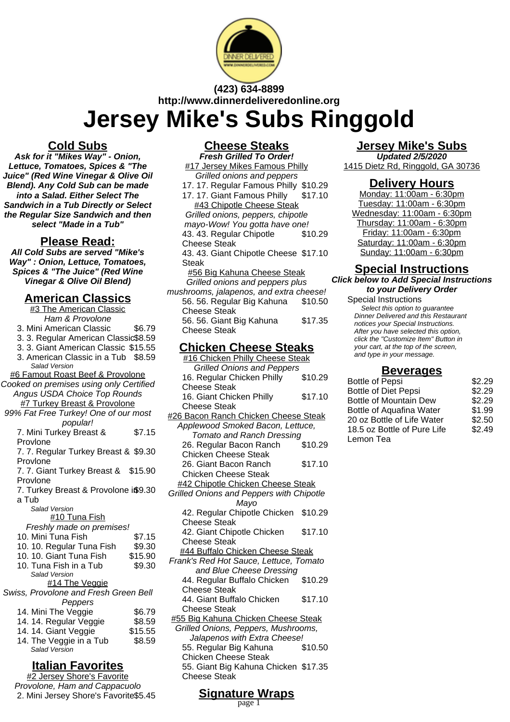

# **(423) 634-8899 http://www.dinnerdeliveredonline.org Jersey Mike's Subs Ringgold**

## **Cold Subs**

**Ask for it "Mikes Way" - Onion, Lettuce, Tomatoes, Spices & "The Juice" (Red Wine Vinegar & Olive Oil Blend). Any Cold Sub can be made into a Salad. Either Select The Sandwich in a Tub Directly or Select the Regular Size Sandwich and then select "Made in a Tub"**

## **Please Read:**

**All Cold Subs are served "Mike's Way" : Onion, Lettuce, Tomatoes, Spices & "The Juice" (Red Wine Vinegar & Olive Oil Blend)**

## **American Classics**

#3 The American Classic Ham & Provolone

- 3. Mini American Classic \$6.79
- 3. 3. Regular American Classic\$8.59
- 3. 3. Giant American Classic \$15.55
- 3. American Classic in a Tub \$8.59

Salad Version #6 Famout Roast Beef & Provolone

Cooked on premises using only Certified Angus USDA Choice Top Rounds

- **#7 Turkey Breast & Provolone** 99% Fat Free Turkey! One of our most
- popular! 7. Mini Turkey Breast & Provlone \$7.15 7. 7. Regular Turkey Breast & \$9.30 Provlone 7. 7. Giant Turkey Breast & \$15.90 Provlone 7. Turkey Breast & Provolone i\$9.30 a Tub Salad Version #10 Tuna Fish Freshly made on premises! 10. Mini Tuna Fish \$7.15 10. 10. Regular Tuna Fish \$9.30 10. 10. Giant Tuna Fish \$15.90 10. Tuna Fish in a Tub \$9.30 Salad Version #14 The Veggie Swiss, Provolone and Fresh Green Bell

| Peppers                 |         |
|-------------------------|---------|
| 14. Mini The Veggie     | \$6.79  |
| 14. 14. Regular Veggie  | \$8.59  |
| 14. 14. Giant Veggie    | \$15.55 |
| 14. The Veggie in a Tub | \$8.59  |

Salad Version

## **Italian Favorites**

**#2 Jersey Shore's Favorite** Provolone, Ham and Cappacuolo 2. Mini Jersey Shore's Favorite\$5.45

# **Cheese Steaks**

**Fresh Grilled To Order!** #17 Jersey Mikes Famous Philly Grilled onions and peppers 17. 17. Regular Famous Philly \$10.29 17. 17. Giant Famous Philly \$17.10 #43 Chipotle Cheese Steak Grilled onions, peppers, chipotle mayo-Wow! You gotta have one! 43. 43. Regular Chipotle Cheese Steak \$10.29 43. 43. Giant Chipotle Cheese \$17.10 Steak #56 Big Kahuna Cheese Steak Grilled onions and peppers plus mushrooms, jalapenos, and extra cheese! 56. 56. Regular Big Kahuna Cheese Steak \$10.50 56. 56. Giant Big Kahuna Cheese Steak \$17.35 **Chicken Cheese Steaks #16 Chicken Philly Cheese Steak** Grilled Onions and Peppers 16. Regular Chicken Philly Cheese Steak \$10.29 16. Giant Chicken Philly Cheese Steak \$17.10 **#26 Bacon Ranch Chicken Cheese Steak** Applewood Smoked Bacon, Lettuce, Tomato and Ranch Dressing 26. Regular Bacon Ranch Chicken Cheese Steak \$10.29 26. Giant Bacon Ranch Chicken Cheese Steak \$17.10 #42 Chipotle Chicken Cheese Steak Grilled Onions and Peppers with Chipotle Mayo 42. Regular Chipotle Chicken \$10.29 Cheese Steak 42. Giant Chipotle Chicken Cheese Steak \$17.10

- #44 Buffalo Chicken Cheese Steak Frank's Red Hot Sauce, Lettuce, Tomato and Blue Cheese Dressing 44. Regular Buffalo Chicken \$10.29
	- Cheese Steak 44. Giant Buffalo Chicken Cheese Steak \$17.10
- #55 Big Kahuna Chicken Cheese Steak
- Grilled Onions, Peppers, Mushrooms, Jalapenos with Extra Cheese! 55. Regular Big Kahuna Chicken Cheese Steak \$10.50 55. Giant Big Kahuna Chicken \$17.35 Cheese Steak

# **Jersey Mike's Subs**

**Updated 2/5/2020** 1415 Dietz Rd, Ringgold, GA 30736

## **Delivery Hours**

Monday: 11:00am - 6:30pm Tuesday: 11:00am - 6:30pm Wednesday: 11:00am - 6:30pm Thursday: 11:00am - 6:30pm Friday: 11:00am - 6:30pm Saturday: 11:00am - 6:30pm Sunday: 11:00am - 6:30pm

# **Special Instructions**

**Click below to Add Special Instructions to your Delivery Order**

Special Instructions Select this option to quarantee Dinner Delivered and this Restaurant notices your Special Instructions. After you have selected this option, click the "Customize Item" Button in your cart, at the top of the screen, and type in your message.

### **Beverages**

| <b>Bottle of Pepsi</b>        | \$2.29 |
|-------------------------------|--------|
| <b>Bottle of Diet Pepsi</b>   | \$2.29 |
| <b>Bottle of Mountain Dew</b> | \$2.29 |
| Bottle of Aquafina Water      | \$1.99 |
| 20 oz Bottle of Life Water    | \$2.50 |
| 18.5 oz Bottle of Pure Life   | \$2.49 |
| Lemon Tea                     |        |

#### **Signature Wraps** page 1